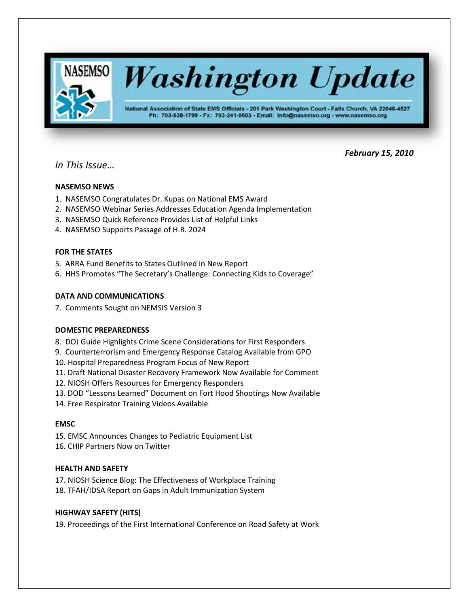

# *February 15, 2010*

# *In This Issue…*

# **NASEMSO NEWS**

- 1. NASEMSO Congratulates Dr. Kupas on National EMS Award
- 2. NASEMSO Webinar Series Addresses Education Agenda Implementation
- 3. NASEMSO Quick Reference Provides List of Helpful Links
- 4. NASEMSO Supports Passage of H.R. 2024

# **FOR THE STATES**

- 5. ARRA Fund Benefits to States Outlined in New Report
- 6. HHS Promotes "The Secretary's Challenge: Connecting Kids to Coverage"

# **DATA AND COMMUNICATIONS**

7. Comments Sought on NEMSIS Version 3

# **DOMESTIC PREPAREDNESS**

- 8. DOJ Guide Highlights Crime Scene Considerations for First Responders
- 9. Counterterrorism and Emergency Response Catalog Available from GPO
- 10. Hospital Preparedness Program Focus of New Report
- 11. Draft National Disaster Recovery Framework Now Available for Comment
- 12. NIOSH Offers Resources for Emergency Responders
- 13. DOD "Lessons Learned" Document on Fort Hood Shootings Now Available
- 14. Free Respirator Training Videos Available

# **EMSC**

- 15. EMSC Announces Changes to Pediatric Equipment List
- 16. CHIP Partners Now on Twitter

# **HEALTH AND SAFETY**

17. NIOSH Science Blog: The Effectiveness of Workplace Training 18. TFAH/IDSA Report on Gaps in Adult Immunization System

# **HIGHWAY SAFETY (HITS)**

19. Proceedings of the First International Conference on Road Safety at Work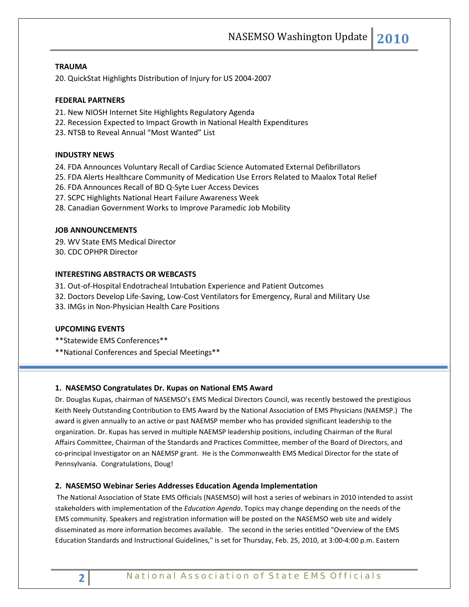# **TRAUMA**

20. QuickStat Highlights Distribution of Injury for US 2004-2007

#### **FEDERAL PARTNERS**

- 21. New NIOSH Internet Site Highlights Regulatory Agenda
- 22. Recession Expected to Impact Growth in National Health Expenditures
- 23. NTSB to Reveal Annual "Most Wanted" List

# **INDUSTRY NEWS**

- 24. FDA Announces Voluntary Recall of Cardiac Science Automated External Defibrillators
- 25. FDA Alerts Healthcare Community of Medication Use Errors Related to Maalox Total Relief
- 26. FDA Announces Recall of BD Q-Syte Luer Access Devices
- 27. SCPC Highlights National Heart Failure Awareness Week
- 28. Canadian Government Works to Improve Paramedic Job Mobility

#### **JOB ANNOUNCEMENTS**

29. WV State EMS Medical Director 30. CDC OPHPR Director

### **INTERESTING ABSTRACTS OR WEBCASTS**

31. Out-of-Hospital Endotracheal Intubation Experience and Patient Outcomes

- 32. Doctors Develop Life-Saving, Low-Cost Ventilators for Emergency, Rural and Military Use
- 33. IMGs in Non-Physician Health Care Positions

#### **UPCOMING EVENTS**

\*\*Statewide EMS Conferences\*\*

\*\*National Conferences and Special Meetings\*\*

#### **1. NASEMSO Congratulates Dr. Kupas on National EMS Award**

Dr. Douglas Kupas, chairman of NASEMSO's EMS Medical Directors Council, was recently bestowed the prestigious Keith Neely Outstanding Contribution to EMS Award by the National Association of EMS Physicians (NAEMSP.) The award is given annually to an active or past NAEMSP member who has provided significant leadership to the organization. Dr. Kupas has served in multiple NAEMSP leadership positions, including Chairman of the Rural Affairs Committee, Chairman of the Standards and Practices Committee, member of the Board of Directors, and co-principal Investigator on an NAEMSP grant. He is the Commonwealth EMS Medical Director for the state of Pennsylvania. Congratulations, Doug!

#### **2. NASEMSO Webinar Series Addresses Education Agenda Implementation**

The National Association of State EMS Officials (NASEMSO) will host a series of webinars in 2010 intended to assist stakeholders with implementation of the *Education Agenda*. Topics may change depending on the needs of the EMS community. Speakers and registration information will be posted on the NASEMSO web site and widely disseminated as more information becomes available. The second in the series entitled "Overview of the EMS Education Standards and Instructional Guidelines," is set for Thursday, Feb. 25, 2010, at 3:00-4:00 p.m. Eastern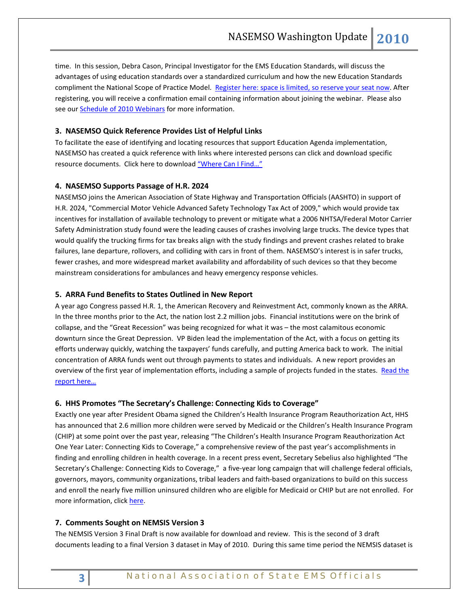time. In this session, Debra Cason, Principal Investigator for the EMS Education Standards, will discuss the advantages of using education standards over a standardized curriculum and how the new Education Standards compliment the National Scope of Practice Model. [Register here: space is limited, so reserve your seat now.](https://www2.gotomeeting.com/register/332307883) After registering, you will receive a confirmation email containing information about joining the webinar. Please also see ou[r Schedule of 2010 Webinars](http://www.nasemso.org/EMSEducationImplementationPlanning/documents/ImplementationoftheEMSEducationAgendaPressRelease-2010Webinars.pdf) for more information.

# **3. NASEMSO Quick Reference Provides List of Helpful Links**

To facilitate the ease of identifying and locating resources that support Education Agenda implementation, NASEMSO has created a quick reference with links where interested persons can click and download specific resource documents. Click here to download ["Where Can I Find…"](http://www.nasemso.org/EMSEducationImplementationPlanning/documents/WhereCanIFind.pdf)

#### **4. NASEMSO Supports Passage of H.R. 2024**

NASEMSO joins the American Association of State Highway and Transportation Officials (AASHTO) in support of H.R. 2024, "Commercial Motor Vehicle Advanced Safety Technology Tax Act of 2009," which would provide tax incentives for installation of available technology to prevent or mitigate what a 2006 NHTSA/Federal Motor Carrier Safety Administration study found were the leading causes of crashes involving large trucks. The device types that would qualify the trucking firms for tax breaks align with the study findings and prevent crashes related to brake failures, lane departure, rollovers, and colliding with cars in front of them. NASEMSO's interest is in safer trucks, fewer crashes, and more widespread market availability and affordability of such devices so that they become mainstream considerations for ambulances and heavy emergency response vehicles.

#### **5. ARRA Fund Benefits to States Outlined in New Report**

A year ago Congress passed H.R. 1, the American Recovery and Reinvestment Act, commonly known as the ARRA. In the three months prior to the Act, the nation lost 2.2 million jobs. Financial institutions were on the brink of collapse, and the "Great Recession" was being recognized for what it was – the most calamitous economic downturn since the Great Depression. VP Biden lead the implementation of the Act, with a focus on getting its efforts underway quickly, watching the taxpayers' funds carefully, and putting America back to work. The initial concentration of ARRA funds went out through payments to states and individuals. A new report provides an overview of the first year of implementation efforts, including a sample of projects funded in the states. Read the [report here…](http://www.whitehouse.gov/Recovery)

#### **6. HHS Promotes "The Secretary's Challenge: Connecting Kids to Coverage"**

Exactly one year after President Obama signed the Children's Health Insurance Program Reauthorization Act, HHS has announced that 2.6 million more children were served by Medicaid or the Children's Health Insurance Program (CHIP) at some point over the past year, releasing "The Children's Health Insurance Program Reauthorization Act One Year Later: Connecting Kids to Coverage," a comprehensive review of the past year's accomplishments in finding and enrolling children in health coverage. In a recent press event, Secretary Sebelius also highlighted "The Secretary's Challenge: Connecting Kids to Coverage," a five-year long campaign that will challenge federal officials, governors, mayors, community organizations, tribal leaders and faith-based organizations to build on this success and enroll the nearly five million uninsured children who are eligible for Medicaid or CHIP but are not enrolled. For more information, click [here.](http://www.hhs.gov/news/press/2010pres/02/20100204a.html)

# **7. Comments Sought on NEMSIS Version 3**

The NEMSIS Version 3 Final Draft is now available for download and review. This is the second of 3 draft documents leading to a final Version 3 dataset in May of 2010. During this same time period the NEMSIS dataset is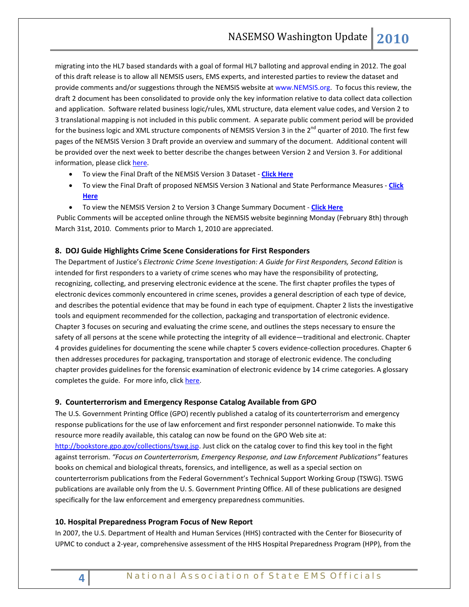migrating into the HL7 based standards with a goal of formal HL7 balloting and approval ending in 2012. The goal of this draft release is to allow all NEMSIS users, EMS experts, and interested parties to review the dataset and provide comments and/or suggestions through the NEMSIS website a[t www.NEMSIS.org.](http://www.nemsis.org/) To focus this review, the draft 2 document has been consolidated to provide only the key information relative to data collect data collection and application. Software related business logic/rules, XML structure, data element value codes, and Version 2 to 3 translational mapping is not included in this public comment. A separate public comment period will be provided for the business logic and XML structure components of NEMSIS Version 3 in the 2<sup>nd</sup> quarter of 2010. The first few pages of the NEMSIS Version 3 Draft provide an overview and summary of the document. Additional content will be provided over the next week to better describe the changes between Version 2 and Version 3. For additional information, please click [here.](http://www.nemsis.org/support/version3Info.html)

- To view the Final Draft of the NEMSIS Version 3 Dataset **[Click Here](http://www.nemsis.org/media/pdf/NEMSISV3Draft2.pdf)**
- To view the Final Draft of proposed NEMSIS Version 3 National and State Performance Measures **[Click](http://www.nemsis.org/media/pdf/NEMSISV3PerfMeasures.pdf)  [Here](http://www.nemsis.org/media/pdf/NEMSISV3PerfMeasures.pdf)**
- To view the NEMSIS Version 2 to Version 3 Change Summary Document **[Click Here](http://www.nemsis.org/media/pdf/NEMSISV3SectionChangeSummary.pdf)**

Public Comments will be accepted online through the NEMSIS website beginning Monday (February 8th) through March 31st, 2010. Comments prior to March 1, 2010 are appreciated.

### **8. DOJ Guide Highlights Crime Scene Considerations for First Responders**

The Department of Justice's *Electronic Crime Scene Investigation: A Guide for First Responders, Second Edition* is intended for first responders to a variety of crime scenes who may have the responsibility of protecting, recognizing, collecting, and preserving electronic evidence at the scene. The first chapter profiles the types of electronic devices commonly encountered in crime scenes, provides a general description of each type of device, and describes the potential evidence that may be found in each type of equipment. Chapter 2 lists the investigative tools and equipment recommended for the collection, packaging and transportation of electronic evidence. Chapter 3 focuses on securing and evaluating the crime scene, and outlines the steps necessary to ensure the safety of all persons at the scene while protecting the integrity of all evidence—traditional and electronic. Chapter 4 provides guidelines for documenting the scene while chapter 5 covers evidence-collection procedures. Chapter 6 then addresses procedures for packaging, transportation and storage of electronic evidence. The concluding chapter provides guidelines for the forensic examination of electronic evidence by 14 crime categories. A glossary completes the guide. For more info, click [here.](http://www.ojp.usdoj.gov/nij/pubs-sum/219941.htm)

#### **9. Counterterrorism and Emergency Response Catalog Available from GPO**

The U.S. Government Printing Office (GPO) recently published a catalog of its counterterrorism and emergency response publications for the use of law enforcement and first responder personnel nationwide. To make this resource more readily available, this catalog can now be found on the GPO Web site at: [http://bookstore.gpo.gov/collections/tswg.jsp.](http://links.govdelivery.com/track?type=click&enid=bWFpbGluZ2lkPTcxMTQyOSZtZXNzYWdlaWQ9UFJELUJVTC03MTE0MjkmZGF0YWJhc2VpZD0xMDAxJnNlcmlhbD0xMjE1NjczODU1JmVtYWlsaWQ9cm9iaW5zb25AbmFzZW1zby5vcmcmdXNlcmlkPXJvYmluc29uQG5hc2Vtc28ub3JnJmV4dHJhPSYmJg==&&&102&&&http://bookstore.gpo.gov/collections/tswg.jsp) Just click on the catalog cover to find this key tool in the fight against terrorism. *"Focus on Counterterrorism, Emergency Response, and Law Enforcement Publications"* features books on chemical and biological threats, forensics, and intelligence, as well as a special section on counterterrorism publications from the Federal Government's Technical Support Working Group (TSWG). TSWG publications are available only from the U. S. Government Printing Office. All of these publications are designed specifically for the law enforcement and emergency preparedness communities.

#### **10. Hospital Preparedness Program Focus of New Report**

In 2007, the U.S. Department of Health and Human Services (HHS) contracted with the Center for Biosecurity of UPMC to conduct a 2-year, comprehensive assessment of the HHS Hospital Preparedness Program (HPP), from the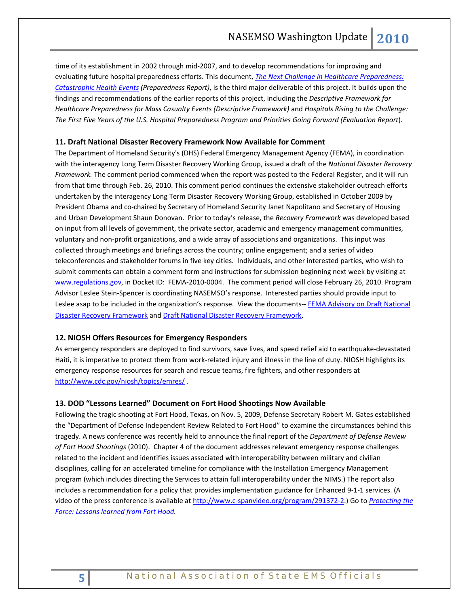time of its establishment in 2002 through mid-2007, and to develop recommendations for improving and evaluating future hospital preparedness efforts. This document, *[The Next Challenge in Healthcare Preparedness:](http://www.upmc-biosecurity.org/website/resources/publications/2010/pdf/2010-01-29-prepreport.pdf)  [Catastrophic Health Events](http://www.upmc-biosecurity.org/website/resources/publications/2010/pdf/2010-01-29-prepreport.pdf) (Preparedness Report)*, is the third major deliverable of this project. It builds upon the findings and recommendations of the earlier reports of this project, including the *Descriptive Framework for Healthcare Preparedness for Mass Casualty Events (Descriptive Framework)* and *Hospitals Rising to the Challenge: The First Five Years of the U.S. Hospital Preparedness Program and Priorities Going Forward (Evaluation Report*).

# **11. Draft National Disaster Recovery Framework Now Available for Comment**

The Department of Homeland Security's (DHS) Federal Emergency Management Agency (FEMA), in coordination with the interagency Long Term Disaster Recovery Working Group, issued a draft of the *National Disaster Recovery Framework.* The comment period commenced when the report was posted to the Federal Register, and it will run from that time through Feb. 26, 2010. This comment period continues the extensive stakeholder outreach efforts undertaken by the interagency Long Term Disaster Recovery Working Group, established in October 2009 by President Obama and co-chaired by Secretary of Homeland Security Janet Napolitano and Secretary of Housing and Urban Development Shaun Donovan. Prior to today's release, the *Recovery Framework* was developed based on input from all levels of government, the private sector, academic and emergency management communities, voluntary and non-profit organizations, and a wide array of associations and organizations. This input was collected through meetings and briefings across the country; online engagement; and a series of video teleconferences and stakeholder forums in five key cities. Individuals, and other interested parties, who wish to submit comments can obtain a comment form and instructions for submission beginning next week by visiting at [www.regulations.gov,](http://www.regulations.gov/) in Docket ID: FEMA-2010-0004. The comment period will close February 26, 2010. Program Advisor Leslee Stein-Spencer is coordinating NASEMSO's response. Interested parties should provide input to Leslee asap to be included in the organization's response. View the documents-- FEMA Advisory on Draft National [Disaster Recovery Framework](http://www.fema.gov/news/newsrelease.fema?id=50366) and [Draft National Disaster Recovery Framework.](http://www.fema.gov/pdf/recoveryframework/omb_ndrf.pdf)

# **12. NIOSH Offers Resources for Emergency Responders**

As emergency responders are deployed to find survivors, save lives, and speed relief aid to earthquake-devastated Haiti, it is imperative to protect them from work-related injury and illness in the line of duty. NIOSH highlights its emergency response resources for search and rescue teams, fire fighters, and other responders at <http://www.cdc.gov/niosh/topics/emres/> .

#### **13. DOD "Lessons Learned" Document on Fort Hood Shootings Now Available**

Following the tragic shooting at Fort Hood, Texas, on Nov. 5, 2009, Defense Secretary Robert M. Gates established the "Department of Defense Independent Review Related to Fort Hood" to examine the circumstances behind this tragedy. A news conference was recently held to announce the final report of the *Department of Defense Review of Fort Hood Shootings* (2010). Chapter 4 of the document addresses relevant emergency response challenges related to the incident and identifies issues associated with interoperability between military and civilian disciplines, calling for an accelerated timeline for compliance with the Installation Emergency Management program (which includes directing the Services to attain full interoperability under the NIMS.) The report also includes a recommendation for a policy that provides implementation guidance for Enhanced 9-1-1 services. (A video of the press conference is available at [http://www.c-spanvideo.org/program/291372-2.\)](http://www.c-spanvideo.org/program/291372-2) Go to *[Protecting the](http://www.defense.gov/pubs/pdfs/DOD-ProtectingTheForce-Web_Security_HR_13Jan10.pdf)  [Force: Lessons learned from Fort Hood.](http://www.defense.gov/pubs/pdfs/DOD-ProtectingTheForce-Web_Security_HR_13Jan10.pdf)*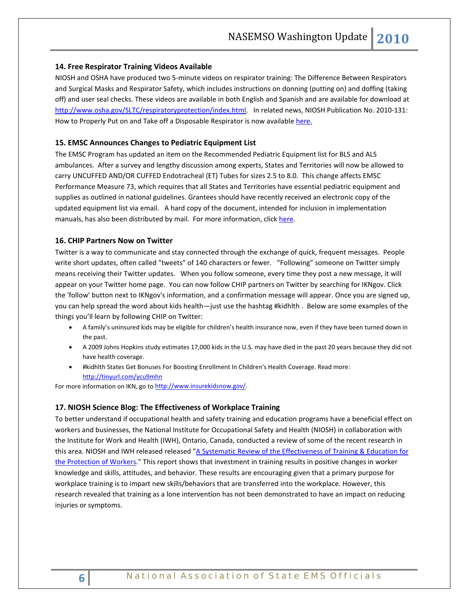#### **14. Free Respirator Training Videos Available**

NIOSH and OSHA have produced two 5-minute videos on respirator training: The Difference Between Respirators and Surgical Masks and Respirator Safety, which includes instructions on donning (putting on) and doffing (taking off) and user seal checks. These videos are available in both English and Spanish and are available for download at [http://www.osha.gov/SLTC/respiratoryprotection/index.html.](http://www.osha.gov/SLTC/respiratoryprotection/index.html) In related news, NIOSH Publication No. 2010-131: How to Properly Put on and Take off a Disposable Respirator is now available here.

#### **15. EMSC Announces Changes to Pediatric Equipment List**

The EMSC Program has updated an item on the Recommended Pediatric Equipment list for BLS and ALS ambulances. After a survey and lengthy discussion among experts, States and Territories will now be allowed to carry UNCUFFED AND/OR CUFFED Endotracheal (ET) Tubes for sizes 2.5 to 8.0. This change affects EMSC Performance Measure 73, which requires that all States and Territories have essential pediatric equipment and supplies as outlined in national guidelines. Grantees should have recently received an electronic copy of the updated equipment list via email. A hard copy of the document, intended for inclusion in implementation manuals, has also been distributed by mail. For more information, clic[k here.](http://www.childrensnational.org/files/PDF/EMSC/ForGrantees/Equipment_Checklist_for_PMs.pdf)

#### **16. CHIP Partners Now on Twitter**

Twitter is a way to communicate and stay connected through the exchange of quick, frequent messages. People write short updates, often called "tweets" of 140 characters or fewer. "Following" someone on Twitter simply means receiving their Twitter updates. When you follow someone, every time they post a new message, it will appear on your Twitter home page. You can now follow CHIP partners on Twitter by searching for IKNgov. Click the 'follow' button next to IKNgov's information, and a confirmation message will appear. Once you are signed up, you can help spread the word about kids health—just use the hashtag #kidhlth . Below are some examples of the things you'll learn by following CHIP on Twitter:

- A family's uninsured kids may be eligible for children's health insurance now, even if they have been turned down in the past.
- A 2009 Johns Hopkins study estimates 17,000 kids in the U.S. may have died in the past 20 years because they did not have health coverage.
- #kidhlth States Get Bonuses For Boosting Enrollment In Children's Health Coverage. Read more: <http://tinyurl.com/ycu9mhn>

For more information on IKN, go t[o http://www.insurekidsnow.gov/.](http://www.insurekidsnow.gov/)

#### **17. NIOSH Science Blog: The Effectiveness of Workplace Training**

To better understand if occupational health and safety training and education programs have a beneficial effect on workers and businesses, the National Institute for Occupational Safety and Health (NIOSH) in collaboration with the Institute for Work and Health (IWH), Ontario, Canada, conducted a review of some of the recent research in this area. NIOSH and IWH released released ["A Systematic Review of the Effectiveness of Training & Education for](http://www.cdc.gov/niosh/topics/Training/sys_review_education_training_2010.html)  [the Protection of Workers.](http://www.cdc.gov/niosh/topics/Training/sys_review_education_training_2010.html)" This report shows that investment in training results in positive changes in worker knowledge and skills, attitudes, and behavior. These results are encouraging given that a primary purpose for workplace training is to impart new skills/behaviors that are transferred into the workplace. However, this research revealed that training as a lone intervention has not been demonstrated to have an impact on reducing injuries or symptoms.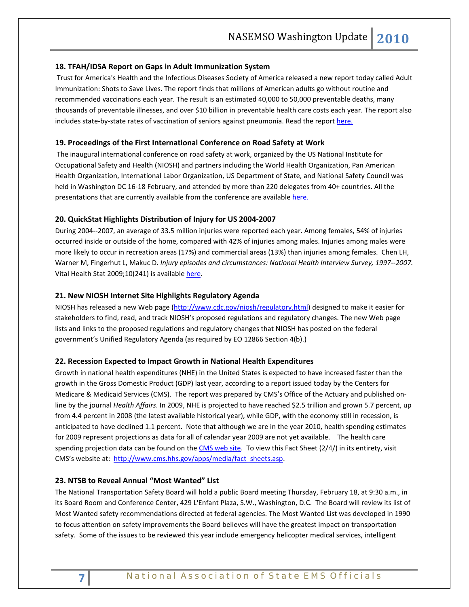### **18. TFAH/IDSA Report on Gaps in Adult Immunization System**

Trust for America's Health and the Infectious Diseases Society of America released a new report today called Adult Immunization: Shots to Save Lives. The report finds that millions of American adults go without routine and recommended vaccinations each year. The result is an estimated 40,000 to 50,000 preventable deaths, many thousands of preventable illnesses, and over \$10 billion in preventable health care costs each year. The report also includes state-by-state rates of vaccination of seniors against pneumonia. Read the repor[t here.](http://healthyamericans.org/)

#### **19. Proceedings of the First International Conference on Road Safety at Work**

The inaugural international conference on road safety at work, organized by the US National Institute for Occupational Safety and Health (NIOSH) and partners including the World Health Organization, Pan American Health Organization, International Labor Organization, US Department of State, and National Safety Council was held in Washington DC 16-18 February, and attended by more than 220 delegates from 40+ countries. All the presentations that are currently available from the conference are available [here.](http://www.virtualriskmanager.net/main/aboutus/niosh.php)

# **20. QuickStat Highlights Distribution of Injury for US 2004-2007**

During 2004--2007, an average of 33.5 million injuries were reported each year. Among females, 54% of injuries occurred inside or outside of the home, compared with 42% of injuries among males. Injuries among males were more likely to occur in recreation areas (17%) and commercial areas (13%) than injuries among females. Chen LH, Warner M, Fingerhut L, Makuc D. *Injury episodes and circumstances: National Health Interview Survey, 1997--2007.* Vital Health Stat 2009;10(241) is availabl[e here.](http://www.cdc.gov/nchs/data/series/sr_10/sr10_241.pdf)

#### **21. New NIOSH Internet Site Highlights Regulatory Agenda**

NIOSH has released a new Web page [\(http://www.cdc.gov/niosh/regulatory.html\)](http://www.cdc.gov/niosh/regulatory.html) designed to make it easier for stakeholders to find, read, and track NIOSH's proposed regulations and regulatory changes. The new Web page lists and links to the proposed regulations and regulatory changes that NIOSH has posted on the federal government's Unified Regulatory Agenda (as required by EO 12866 Section 4(b).)

#### **22. Recession Expected to Impact Growth in National Health Expenditures**

Growth in national health expenditures (NHE) in the United States is expected to have increased faster than the growth in the Gross Domestic Product (GDP) last year, according to a report issued today by the Centers for Medicare & Medicaid Services (CMS). The report was prepared by CMS's Office of the Actuary and published online by the journal *Health Affairs*. In 2009, NHE is projected to have reached \$2.5 trillion and grown 5.7 percent, up from 4.4 percent in 2008 (the latest available historical year), while GDP, with the economy still in recession, is anticipated to have declined 1.1 percent. Note that although we are in the year 2010, health spending estimates for 2009 represent projections as data for all of calendar year 2009 are not yet available. The health care spending projection data can be found on th[e CMS web site.](http://www.cms.hhs.gov/NationalHealthExpendData/03_NationalHealthAccountsProjected.asp) To view this Fact Sheet (2/4/) in its entirety, visit CMS's website at: [http://www.cms.hhs.gov/apps/media/fact\\_sheets.asp.](http://www.cms.hhs.gov/apps/media/fact_sheets.asp)

# **23. NTSB to Reveal Annual "Most Wanted" List**

The National Transportation Safety Board will hold a public Board meeting Thursday, February 18, at 9:30 a.m., in its Board Room and Conference Center, 429 L'Enfant Plaza, S.W., Washington, D.C. The Board will review its list of Most Wanted safety recommendations directed at federal agencies. The Most Wanted List was developed in 1990 to focus attention on safety improvements the Board believes will have the greatest impact on transportation safety. Some of the issues to be reviewed this year include emergency helicopter medical services, intelligent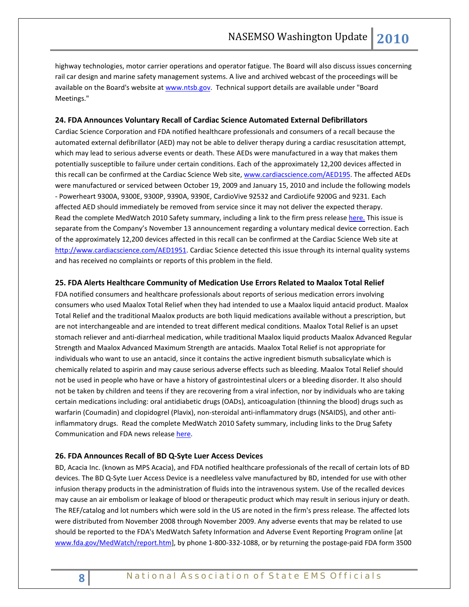highway technologies, motor carrier operations and operator fatigue. The Board will also discuss issues concerning rail car design and marine safety management systems. A live and archived webcast of the proceedings will be available on the Board's website at [www.ntsb.gov.](http://www.ntsb.gov/) Technical support details are available under "Board Meetings."

### **24. FDA Announces Voluntary Recall of Cardiac Science Automated External Defibrillators**

Cardiac Science Corporation and FDA notified healthcare professionals and consumers of a recall because the automated external defibrillator (AED) may not be able to deliver therapy during a cardiac resuscitation attempt, which may lead to serious adverse events or death. These AEDs were manufactured in a way that makes them potentially susceptible to failure under certain conditions. Each of the approximately 12,200 devices affected in this recall can be confirmed at the Cardiac Science Web site[, www.cardiacscience.com/AED195.](http://www.cardiacscience.com/AED195) The affected AEDs were manufactured or serviced between October 19, 2009 and January 15, 2010 and include the following models - Powerheart 9300A, 9300E, 9300P, 9390A, 9390E, CardioVive 92532 and CardioLife 9200G and 9231. Each affected AED should immediately be removed from service since it may not deliver the expected therapy. Read the complete MedWatch 2010 Safety summary, including a link to the firm press release [here.](http://www.fda.gov/Safety/MedWatch/SafetyInformation/SafetyAlertsforHumanMedicalProducts/ucm200138.htm) This issue is separate from the Company's November 13 announcement regarding a voluntary medical device correction. Each of the approximately 12,200 devices affected in this recall can be confirmed at the Cardiac Science Web site at [http://www.cardiacscience.com/AED1951.](http://www.cardiacscience.com/AED1951) Cardiac Science detected this issue through its internal quality systems and has received no complaints or reports of this problem in the field.

### **25. FDA Alerts Healthcare Community of Medication Use Errors Related to Maalox Total Relief**

FDA notified consumers and healthcare professionals about reports of serious medication errors involving consumers who used Maalox Total Relief when they had intended to use a Maalox liquid antacid product. Maalox Total Relief and the traditional Maalox products are both liquid medications available without a prescription, but are not interchangeable and are intended to treat different medical conditions. Maalox Total Relief is an upset stomach reliever and anti-diarrheal medication, while traditional Maalox liquid products Maalox Advanced Regular Strength and Maalox Advanced Maximum Strength are antacids. Maalox Total Relief is not appropriate for individuals who want to use an antacid, since it contains the active ingredient bismuth subsalicylate which is chemically related to aspirin and may cause serious adverse effects such as bleeding. Maalox Total Relief should not be used in people who have or have a history of gastrointestinal ulcers or a bleeding disorder. It also should not be taken by children and teens if they are recovering from a viral infection, nor by individuals who are taking certain medications including: oral antidiabetic drugs (OADs), anticoagulation (thinning the blood) drugs such as warfarin (Coumadin) and clopidogrel (Plavix), non-steroidal anti-inflammatory drugs (NSAIDS), and other antiinflammatory drugs. Read the complete MedWatch 2010 Safety summary, including links to the Drug Safety Communication and FDA news release [here.](http://www.fda.gov/Safety/MedWatch/SafetyInformation/SafetyAlertsforHumanMedicalProducts/ucm200672.htm)

#### **26. FDA Announces Recall of BD Q-Syte Luer Access Devices**

BD, Acacia Inc. (known as MPS Acacia), and FDA notified healthcare professionals of the recall of certain lots of BD devices. The BD Q-Syte Luer Access Device is a needleless valve manufactured by BD, intended for use with other infusion therapy products in the administration of fluids into the intravenous system. Use of the recalled devices may cause an air embolism or leakage of blood or therapeutic product which may result in serious injury or death. The REF/catalog and lot numbers which were sold in the US are noted in the firm's press release. The affected lots were distributed from November 2008 through November 2009. Any adverse events that may be related to use should be reported to the FDA's MedWatch Safety Information and Adverse Event Reporting Program online [at [www.fda.gov/MedWatch/report.htm\]](http://links.govdelivery.com/track?type=click&enid=bWFpbGluZ2lkPTcxNTE4NCZtZXNzYWdlaWQ9UFJELUJVTC03MTUxODQmZGF0YWJhc2VpZD0xMDAxJnNlcmlhbD0xMjE1NjgwNjg4JmVtYWlsaWQ9a3JvYmluNTIyQGdtYWlsLmNvbSZ1c2VyaWQ9a3JvYmluNTIyQGdtYWlsLmNvbSZleHRyYT0mJiY=&&&100&&&https://www.accessdata.fda.gov/scripts/medwatch/medwatch-online.htm), by phone 1-800-332-1088, or by returning the postage-paid FDA form 3500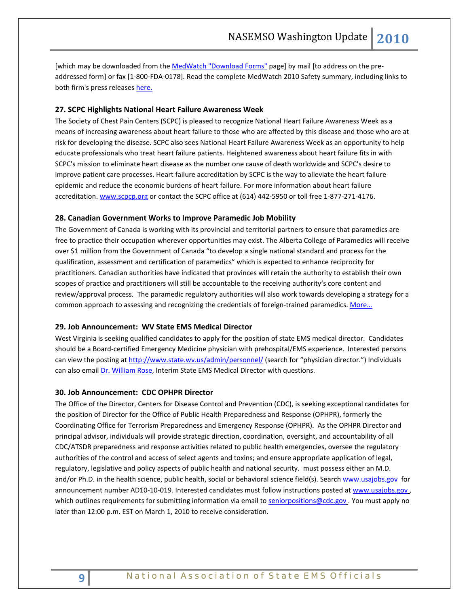[which may be downloaded from th[e MedWatch "Download Forms"](http://links.govdelivery.com/track?type=click&enid=bWFpbGluZ2lkPTcxNTE4NCZtZXNzYWdlaWQ9UFJELUJVTC03MTUxODQmZGF0YWJhc2VpZD0xMDAxJnNlcmlhbD0xMjE1NjgwNjg4JmVtYWlsaWQ9a3JvYmluNTIyQGdtYWlsLmNvbSZ1c2VyaWQ9a3JvYmluNTIyQGdtYWlsLmNvbSZleHRyYT0mJiY=&&&101&&&http://www.fda.gov/Safety/MedWatch/HowToReport/DownloadForms/ucm2007307.htm) page] by mail [to address on the preaddressed form] or fax [1-800-FDA-0178]. Read the complete MedWatch 2010 Safety summary, including links to both firm's press releases [here.](http://www.fda.gov/Safety/MedWatch/SafetyInformation/SafetyAlertsforHumanMedicalProducts/ucm200137.htm)

# **27. SCPC Highlights National Heart Failure Awareness Week**

The Society of Chest Pain Centers (SCPC) is pleased to recognize National Heart Failure Awareness Week as a means of increasing awareness about heart failure to those who are affected by this disease and those who are at risk for developing the disease. SCPC also sees National Heart Failure Awareness Week as an opportunity to help educate professionals who treat heart failure patients. Heightened awareness about heart failure fits in with SCPC's mission to eliminate heart disease as the number one cause of death worldwide and SCPC's desire to improve patient care processes. Heart failure accreditation by SCPC is the way to alleviate the heart failure epidemic and reduce the economic burdens of heart failure. For more information about heart failure accreditation. [www.scpcp.org](http://r20.rs6.net/tn.jsp?et=1103034482719&s=9569&e=001dYAw8IgAdi7Vbe9gwrhUgArvWBA-B5Q-AULQ0V7ImDD65qYbLYSFV8BlFfi0jNDRgzEzL4icYCdaMhpXza3Ln12Jlup7CuzdcOjYRQWinjU=) or contact the SCPC office at (614) 442-5950 or toll free 1-877-271-4176.

#### **28. Canadian Government Works to Improve Paramedic Job Mobility**

The Government of Canada is working with its provincial and territorial partners to ensure that paramedics are free to practice their occupation wherever opportunities may exist. The Alberta College of Paramedics will receive over \$1 million from the Government of Canada "to develop a single national standard and process for the qualification, assessment and certification of paramedics" which is expected to enhance reciprocity for practitioners. Canadian authorities have indicated that provinces will retain the authority to establish their own scopes of practice and practitioners will still be accountable to the receiving authority's core content and review/approval process. The paramedic regulatory authorities will also work towards developing a strategy for a common approach to assessing and recognizing the credentials of foreign-trained paramedics. More...

#### **29. Job Announcement: WV State EMS Medical Director**

West Virginia is seeking qualified candidates to apply for the position of state EMS medical director. Candidates should be a Board-certified Emergency Medicine physician with prehospital/EMS experience. Interested persons can view the posting at<http://www.state.wv.us/admin/personnel/> (search for "physician director.") Individuals can also emai[l Dr. William Rose,](mailto:William.D.Rose@wv.gov) Interim State EMS Medical Director with questions.

#### **30. Job Announcement: CDC OPHPR Director**

The Office of the Director, Centers for Disease Control and Prevention (CDC), is seeking exceptional candidates for the position of Director for the Office of Public Health Preparedness and Response (OPHPR), formerly the Coordinating Office for Terrorism Preparedness and Emergency Response (OPHPR). As the OPHPR Director and principal advisor, individuals will provide strategic direction, coordination, oversight, and accountability of all CDC/ATSDR preparedness and response activities related to public health emergencies, oversee the regulatory authorities of the control and access of select agents and toxins; and ensure appropriate application of legal, regulatory, legislative and policy aspects of public health and national security. must possess either an M.D. and/or Ph.D. in the health science, public health, social or behavioral science field(s). Searc[h www.usajobs.gov](http://www.usajobs.gov/) for announcement number AD10-10-019. Interested candidates must follow instructions posted a[t www.usajobs.gov](http://www.usajobs.gov/) , which outlines requirements for submitting information via email t[o seniorpositions@cdc.gov](mailto:seniorpositions@cdc.gov). You must apply no later than 12:00 p.m. EST on March 1, 2010 to receive consideration.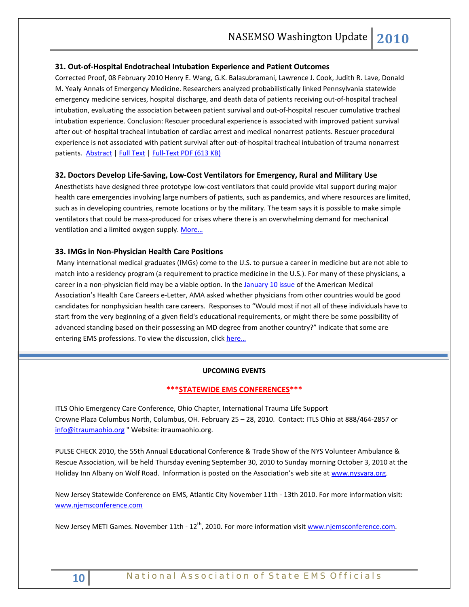### **31. Out-of-Hospital Endotracheal Intubation Experience and Patient Outcomes**

Corrected Proof, 08 February 2010 Henry E. Wang, G.K. Balasubramani, Lawrence J. Cook, Judith R. Lave, Donald M. Yealy Annals of Emergency Medicine. Researchers analyzed probabilistically linked Pennsylvania statewide emergency medicine services, hospital discharge, and death data of patients receiving out-of-hospital tracheal intubation, evaluating the association between patient survival and out-of-hospital rescuer cumulative tracheal intubation experience. Conclusion: Rescuer procedural experience is associated with improved patient survival after out-of-hospital tracheal intubation of cardiac arrest and medical nonarrest patients. Rescuer procedural experience is not associated with patient survival after out-of-hospital tracheal intubation of trauma nonarrest patients. [Abstract](http://www.annemergmed.com/search/quick) [| Full Text](http://www.annemergmed.com/search/quick) | [Full-Text PDF \(613 KB\)](http://download.journals.elsevierhealth.com/pdfs/journals/0196-0644/PIIS0196064409018411.pdf)

#### **32. Doctors Develop Life-Saving, Low-Cost Ventilators for Emergency, Rural and Military Use**

Anesthetists have designed three prototype low-cost ventilators that could provide vital support during major health care emergencies involving large numbers of patients, such as pandemics, and where resources are limited, such as in developing countries, remote locations or by the military. The team says it is possible to make simple ventilators that could be mass-produced for crises where there is an overwhelming demand for mechanical ventilation and a limited oxygen supply. More...

#### **33. IMGs in Non-Physician Health Care Positions**

Many international medical graduates (IMGs) come to the U.S. to pursue a career in medicine but are not able to match into a residency program (a requirement to practice medicine in the U.S.). For many of these physicians, a career in a non-physician field may be a viable option. In the [January 10 issue](http://www.ama-assn.org/ama1/pub/upload/mm/40/hp-01-2010.pdf) of the American Medical Association's Health Care Careers e-Letter, AMA asked whether physicians from other countries would be good candidates for nonphysician health care careers. Responses to "Would most if not all of these individuals have to start from the very beginning of a given field's educational requirements, or might there be some possibility of advanced standing based on their possessing an MD degree from another country?" indicate that some are entering EMS professions. To view the discussion, click [here…](http://www.ama-assn.org/ama/pub/education-careers/careers-health-care/health-care-careers-e-letter/img-position.shtml)

### **UPCOMING EVENTS**

# **\*\*\*STATEWIDE EMS CONFERENCES\*\*\***

ITLS Ohio Emergency Care Conference, Ohio Chapter, International Trauma Life Support Crowne Plaza Columbus North, Columbus, OH. February 25 – 28, 2010. Contact: ITLS Ohio at 888/464-2857 or [info@itraumaohio.org](mailto:info@itraumaohio.org) " Website: itraumaohio.org.

PULSE CHECK 2010, the 55th Annual Educational Conference & Trade Show of the NYS Volunteer Ambulance & Rescue Association, will be held Thursday evening September 30, 2010 to Sunday morning October 3, 2010 at the Holiday Inn Albany on Wolf Road. Information is posted on the Association's web site at [www.nysvara.org.](http://www.nysvara.org/)

New Jersey Statewide Conference on EMS, Atlantic City November 11th - 13th 2010. For more information visit: [www.njemsconference.com](http://www.njemsconference.com/)

New Jersey METI Games. November 11th - 12<sup>th</sup>, 2010. For more information visit [www.njemsconference.com.](http://www.njemsconference.com/)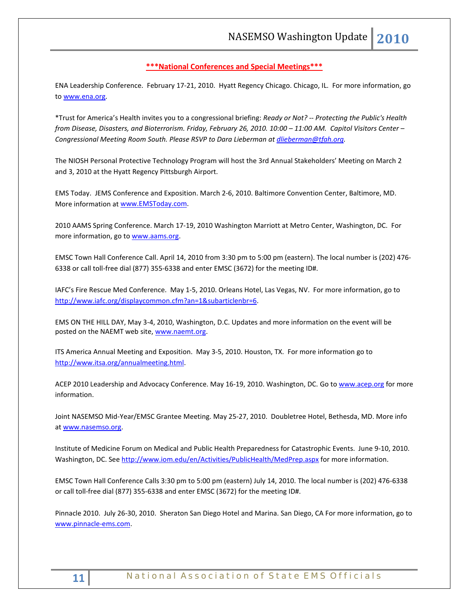# **\*\*\*National Conferences and Special Meetings\*\*\***

ENA Leadership Conference. February 17-21, 2010. Hyatt Regency Chicago. Chicago, IL. For more information, go to [www.ena.org.](http://www.ena.org/)

\*Trust for America's Health invites you to a congressional briefing: *Ready or Not? -- Protecting the Public's Health from Disease, Disasters, and Bioterrorism. Friday, February 26, 2010. 10:00 – 11:00 AM. Capitol Visitors Center – Congressional Meeting Room South. Please RSVP to Dara Lieberman at [dlieberman@tfah.org.](mailto:dlieberman@tfah.org)*

The NIOSH Personal Protective Technology Program will host the 3rd Annual Stakeholders' Meeting on March 2 and 3, 2010 at the Hyatt Regency Pittsburgh Airport.

EMS Today. JEMS Conference and Exposition. March 2-6, 2010. Baltimore Convention Center, Baltimore, MD. More information a[t www.EMSToday.com.](http://www.emstoday.com/)

2010 AAMS Spring Conference. March 17-19, 2010 Washington Marriott at Metro Center, Washington, DC. For more information, go to [www.aams.org.](http://www.aams.org/)

EMSC Town Hall Conference Call. April 14, 2010 from 3:30 pm to 5:00 pm (eastern). The local number is (202) 476- 6338 or call toll-free dial (877) 355-6338 and enter EMSC (3672) for the meeting ID#.

IAFC's Fire Rescue Med Conference. May 1-5, 2010. Orleans Hotel, Las Vegas, NV. For more information, go to [http://www.iafc.org/displaycommon.cfm?an=1&subarticlenbr=6.](http://www.iafc.org/displaycommon.cfm?an=1&subarticlenbr=6) 

EMS ON THE HILL DAY, May 3-4, 2010, Washington, D.C. Updates and more information on the event will be posted on the NAEMT web site[, www.naemt.org.](http://www.naemt.org/)

ITS America Annual Meeting and Exposition. May 3-5, 2010. Houston, TX. For more information go to [http://www.itsa.org/annualmeeting.html.](http://www.itsa.org/annualmeeting.html) 

ACEP 2010 Leadership and Advocacy Conference. May 16-19, 2010. Washington, DC. Go t[o www.acep.org](http://www.acep.org/) for more information.

Joint NASEMSO Mid-Year/EMSC Grantee Meeting. May 25-27, 2010. Doubletree Hotel, Bethesda, MD. More info a[t www.nasemso.org.](http://www.nasemso.org/) 

Institute of Medicine Forum on Medical and Public Health Preparedness for Catastrophic Events. June 9-10, 2010. Washington, DC. See<http://www.iom.edu/en/Activities/PublicHealth/MedPrep.aspx> for more information.

EMSC Town Hall Conference Calls 3:30 pm to 5:00 pm (eastern) July 14, 2010. The local number is (202) 476-6338 or call toll-free dial (877) 355-6338 and enter EMSC (3672) for the meeting ID#.

Pinnacle 2010. July 26-30, 2010. Sheraton San Diego Hotel and Marina. San Diego, CA For more information, go to [www.pinnacle-ems.com.](http://www.pinnacle-ems.com/)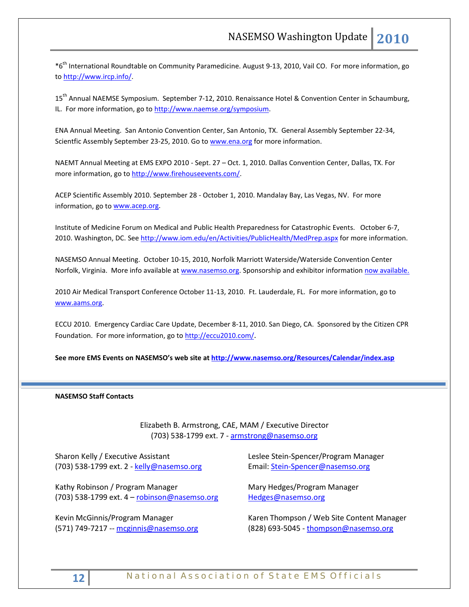\*6th International Roundtable on Community Paramedicine. August 9-13, 2010, Vail CO. For more information, go to [http://www.ircp.info/.](http://www.ircp.info/)

15<sup>th</sup> Annual NAEMSE Symposium. September 7-12, 2010. Renaissance Hotel & Convention Center in Schaumburg, IL. For more information, go to http://www.naemse.org/symposium.

ENA Annual Meeting. San Antonio Convention Center, San Antonio, TX. General Assembly September 22-34, Scientfic Assembly September 23-25, 2010. Go to [www.ena.org](http://www.ena.org/) for more information.

NAEMT Annual Meeting at EMS EXPO 2010 - Sept. 27 – Oct. 1, 2010. Dallas Convention Center, Dallas, TX. For more information, go to [http://www.firehouseevents.com/.](http://www.firehouseevents.com/)

ACEP Scientific Assembly 2010. September 28 - October 1, 2010. Mandalay Bay, Las Vegas, NV. For more information, go to www.acep.org.

Institute of Medicine Forum on Medical and Public Health Preparedness for Catastrophic Events. October 6-7, 2010. Washington, DC. See<http://www.iom.edu/en/Activities/PublicHealth/MedPrep.aspx> for more information.

NASEMSO Annual Meeting. October 10-15, 2010, Norfolk Marriott Waterside/Waterside Convention Center Norfolk, Virginia. More info available at [www.nasemso.org.](http://www.nasemso.org/) Sponsorship and exhibitor information [now available.](http://www.nasemso.org/Meetings/Annual/NASEMSO2010Sponsors-Exhibitors.asp)

2010 Air Medical Transport Conference October 11-13, 2010. Ft. Lauderdale, FL. For more information, go to [www.aams.org.](http://www.aams.org/) 

ECCU 2010. Emergency Cardiac Care Update, December 8-11, 2010. San Diego, CA. Sponsored by the Citizen CPR Foundation. For more information, go t[o http://eccu2010.com/.](http://eccu2010.com/)

**See more EMS Events on NASEMSO's web site at<http://www.nasemso.org/Resources/Calendar/index.asp>**

#### **NASEMSO Staff Contacts**

Elizabeth B. Armstrong, CAE, MAM / Executive Director (703) 538-1799 ext. 7 - [armstrong@nasemso.org](mailto:armstrong@nasemso.org)

Sharon Kelly / Executive Assistant (703) 538-1799 ext. 2 - [kelly@nasemso.org](mailto:kelly@nasemso.org)

Kathy Robinson / Program Manager (703) 538-1799 ext. 4 – [robinson@nasemso.org](mailto:robinson@nasemso.org)

Kevin McGinnis/Program Manager (571) 749-7217 -- [mcginnis@nasemso.org](mailto:mcginnis@nasemso.org) Leslee Stein-Spencer/Program Manager Email: [Stein-Spencer@nasemso.org](mailto:Stein-Spencer@nasemso.org)

Mary Hedges/Program Manager [Hedges@nasemso.org](mailto:Hedges@nasemso.org)

Karen Thompson / Web Site Content Manager  $(828)$  693-5045 - [thompson@nasemso.org](mailto:thompson@nasemso.org)